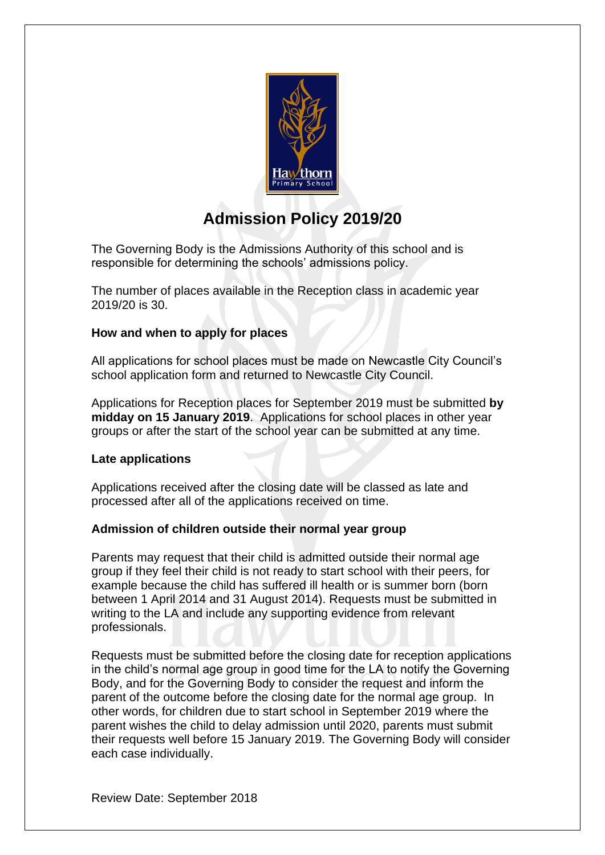

# **Admission Policy 2019/20**

The Governing Body is the Admissions Authority of this school and is responsible for determining the schools' admissions policy.

The number of places available in the Reception class in academic year 2019/20 is 30.

# **How and when to apply for places**

All applications for school places must be made on Newcastle City Council's school application form and returned to Newcastle City Council.

Applications for Reception places for September 2019 must be submitted **by midday on 15 January 2019**. Applications for school places in other year groups or after the start of the school year can be submitted at any time.

# **Late applications**

Applications received after the closing date will be classed as late and processed after all of the applications received on time.

# **Admission of children outside their normal year group**

Parents may request that their child is admitted outside their normal age group if they feel their child is not ready to start school with their peers, for example because the child has suffered ill health or is summer born (born between 1 April 2014 and 31 August 2014). Requests must be submitted in writing to the LA and include any supporting evidence from relevant professionals.

Requests must be submitted before the closing date for reception applications in the child's normal age group in good time for the LA to notify the Governing Body, and for the Governing Body to consider the request and inform the parent of the outcome before the closing date for the normal age group. In other words, for children due to start school in September 2019 where the parent wishes the child to delay admission until 2020, parents must submit their requests well before 15 January 2019. The Governing Body will consider each case individually.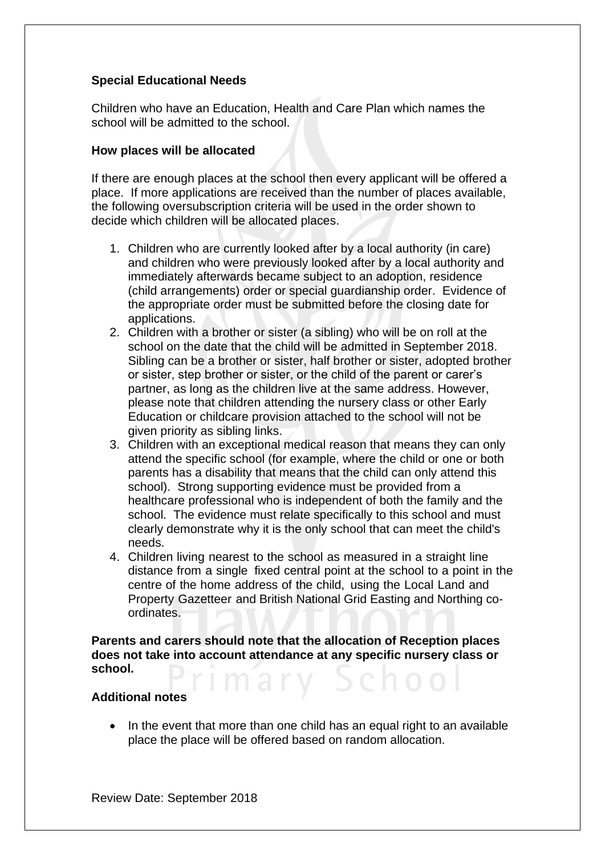# **Special Educational Needs**

Children who have an Education, Health and Care Plan which names the school will be admitted to the school.

### **How places will be allocated**

If there are enough places at the school then every applicant will be offered a place. If more applications are received than the number of places available, the following oversubscription criteria will be used in the order shown to decide which children will be allocated places.

- 1. Children who are currently looked after by a local authority (in care) and children who were previously looked after by a local authority and immediately afterwards became subject to an adoption, residence (child arrangements) order or special guardianship order. Evidence of the appropriate order must be submitted before the closing date for applications.
- 2. Children with a brother or sister (a sibling) who will be on roll at the school on the date that the child will be admitted in September 2018. Sibling can be a brother or sister, half brother or sister, adopted brother or sister, step brother or sister, or the child of the parent or carer's partner, as long as the children live at the same address. However, please note that children attending the nursery class or other Early Education or childcare provision attached to the school will not be given priority as sibling links.
- 3. Children with an exceptional medical reason that means they can only attend the specific school (for example, where the child or one or both parents has a disability that means that the child can only attend this school). Strong supporting evidence must be provided from a healthcare professional who is independent of both the family and the school. The evidence must relate specifically to this school and must clearly demonstrate why it is the only school that can meet the child's needs.
- 4. Children living nearest to the school as measured in a straight line distance from a single fixed central point at the school to a point in the centre of the home address of the child, using the Local Land and Property Gazetteer and British National Grid Easting and Northing coordinates.

**Parents and carers should note that the allocation of Reception places does not take into account attendance at any specific nursery class or school.** 

#### **Additional notes**

• In the event that more than one child has an equal right to an available place the place will be offered based on random allocation.